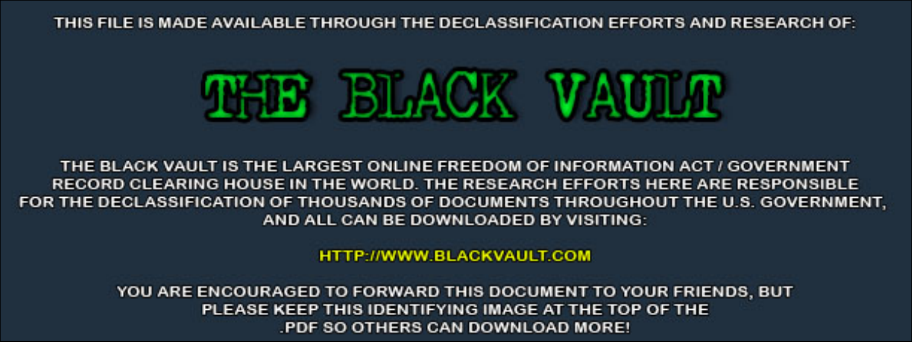THIS FILE IS MADE AVAILABLE THROUGH THE DECLASSIFICATION EFFORTS AND RESEARCH OF:



THE BLACK VAULT IS THE LARGEST ONLINE FREEDOM OF INFORMATION ACT / GOVERNMENT RECORD CLEARING HOUSE IN THE WORLD. THE RESEARCH EFFORTS HERE ARE RESPONSIBLE FOR THE DECLASSIFICATION OF THOUSANDS OF DOCUMENTS THROUGHOUT THE U.S. GOVERNMENT, AND ALL CAN BE DOWNLOADED BY VISITING:

**HTTP://WWW.BLACKVAULT.COM** 

YOU ARE ENCOURAGED TO FORWARD THIS DOCUMENT TO YOUR FRIENDS, BUT PLEASE KEEP THIS IDENTIFYING IMAGE AT THE TOP OF THE PDF SO OTHERS CAN DOWNLOAD MORE!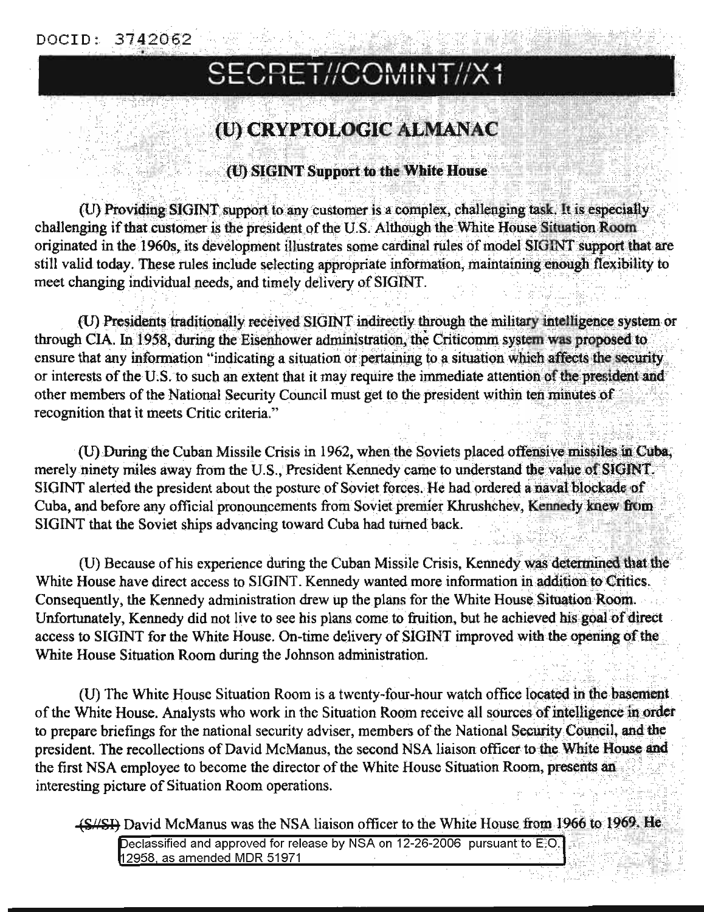#### DOCID: 3742062

# SECRET//COMINT//X1

## (U) CRYPTOLOGIC ALMANAC

#### (U) SIGINT Support to the White House

(U) Providing SIGINT support to any customer is a complex, challenging task. It is especially challenging if that customer is the president of the U.S. Although the White House Situation Room originated in the 1960s, its development illustrates some cardinal rules of model SIGINT support that are still valid today. These rules include selecting appropriate information, maintaining enough flexibility to meet changing individual needs, and timely delivery of SIGINT.

(U) Presidents traditionally received SIGINT indirectly through the military intelligence system or through CIA. In 1958, during the Eisenhower administration, the Criticomm system was proposed to ensure that any information "indicating a situation or pertaining to a situation which affects the security or interests of the U.S. to such an extent that it may require the immediate attention of the president and other members of the National Security Council must get to the president within ten minutes of recognition that it meets Critic criteria."

(U) During the Cuban Missile Crisis in 1962, when the Soviets placed offensive missiles in Cuba, merely ninety miles away from the U.S., President Kennedy came to understand the value of SIGINT. SIGINT alerted the president about the posture of Soviet forces. He had ordered a naval blockade of Cuba, and before any official pronouncements from Soviet premier Khrushchev, Kennedy knew from SIGINT that the Soviet ships advancing toward Cuba had turned back.

(U) Because of his experience during the Cuban Missile Crisis, Kennedy was determined that the White House have direct access to SIGINT. Kennedy wanted more information in addition to Critics. Consequently, the Kennedy administration drew up the plans for the White House Situation Room. Unfortunately, Kennedy did not live to see his plans come to fruition, but he achieved his goal of direct access to SIGINT for the White House. On-time delivery of SIGINT improved with the opening of the White House Situation Room during the Johnson administration.

(U) The White House Situation Room is a twenty-four-hour watch office located in the basement of the White House. Analysts who work in the Situation Room receive all sources of intelligence in order to prepare briefings for the national security adviser, members of the National Security Council, and the president. The recollections of David McManus, the second NSA liaison officer to the White House and the first NSA employee to become the director of the White House Situation Room, presents an interesting picture of Situation Room operations.

(S//SI) David McManus was the NSA liaison officer to the White House from 1966 to 1969. He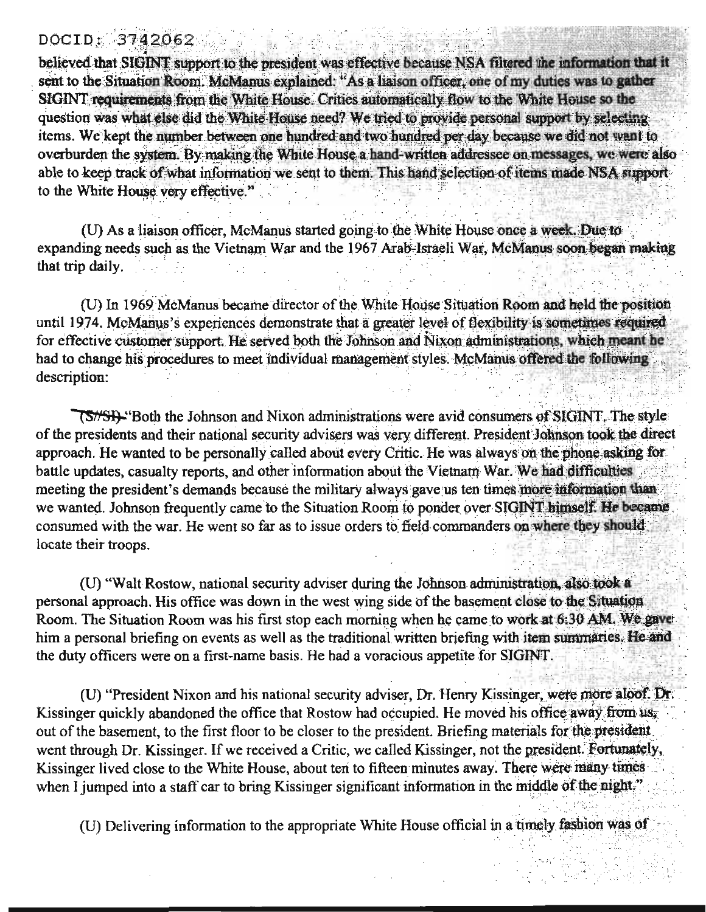#### DOCID: 3742062

believed that SIGINT support to the president was effective because NSA filtered the information that it sent to the Situation Room. McManus explained: "As a liaison officer, one of my duties was to gather SIGINT requirements from the White House. Crities automatically flow to the White House so the question was what else did the White House need? We tried to provide personal support by selecting. items. We kept the number between one hundred and two hundred per day because we did not want to overburden the system. By making the White House a hand-written addressee on messages, we were also able to keep track of what information we sent to them. This hand selection of items made NSA supportto the White House very effective."

(U) As a liaison officer, McManus started going to the White House once a week. Due to expanding needs such as the Vietnam War and the 1967 Arab-Israeli War, McManus soon began making that trip daily.

(U) In 1969 McManus became director of the White House Situation Room and held the position until 1974. McManus's experiences demonstrate that a greater level of flexibility is sometimes required for effective customer support. He served both the Johnson and Nixon administrations, which meant he had to change his procedures to meet individual management styles. McManus offered the following description:

(S/SI). Both the Johnson and Nixon administrations were avid consumers of SIGINT. The style of the presidents and their national security advisers was very different. President Johnson took the direct approach. He wanted to be personally called about every Critic. He was always on the phone asking for battle updates, casualty reports, and other information about the Vietnam War. We had difficulties meeting the president's demands because the military always gave us ten times more information than we wanted. Johnson frequently came to the Situation Room to ponder over SIGINT bimself. He became consumed with the war. He went so far as to issue orders to field commanders on where they should locate their troops.

(U) "Walt Rostow, national security adviser during the Johnson administration, also took a personal approach. His office was down in the west wing side of the basement close to the Situation Room. The Situation Room was his first stop each morning when he came to work at 6:30 AM. We gave him a personal briefing on events as well as the traditional written briefing with item summaries. He and the duty officers were on a first-name basis. He had a voracious appetite for SIGINT.

(U) "President Nixon and his national security adviser, Dr. Henry Kissinger, were more aloof. Dr. Kissinger quickly abandoned the office that Rostow had occupied. He moved his office away from us, out of the basement, to the first floor to be closer to the president. Briefing materials for the president went through Dr. Kissinger. If we received a Critic, we called Kissinger, not the president. Fortunately, Kissinger lived close to the White House, about ten to fifteen minutes away. There were many times when I jumped into a staff car to bring Kissinger significant information in the middle of the night."

(U) Delivering information to the appropriate White House official in a timely fashion was of